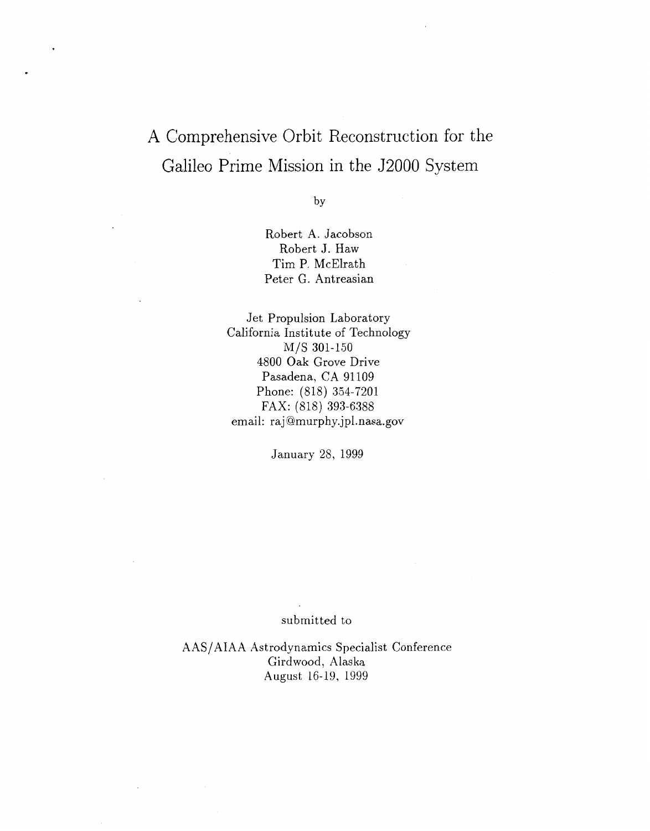## A Comprehensive Orbit Reconstruction for the Galileo Prime Mission in the J2000 System

by

Robert A. Jacobson Robert J. Haw Tim P. McElrath Peter G. Antreasian

Jet Propulsion Laboratory California Institute of Technology M/S 301-150 4800 Oak Grove Drive Pasadena, CA 91109 Phone: (818) 354-7201 email: raj@murphy.jpl.nasa.gov FAX: (818) 393-6388

January 28, 1999

## submitted to

AAS/AIAA Astrodynamics Specialist Conference Girdwood, Alaska August 16-19, 1999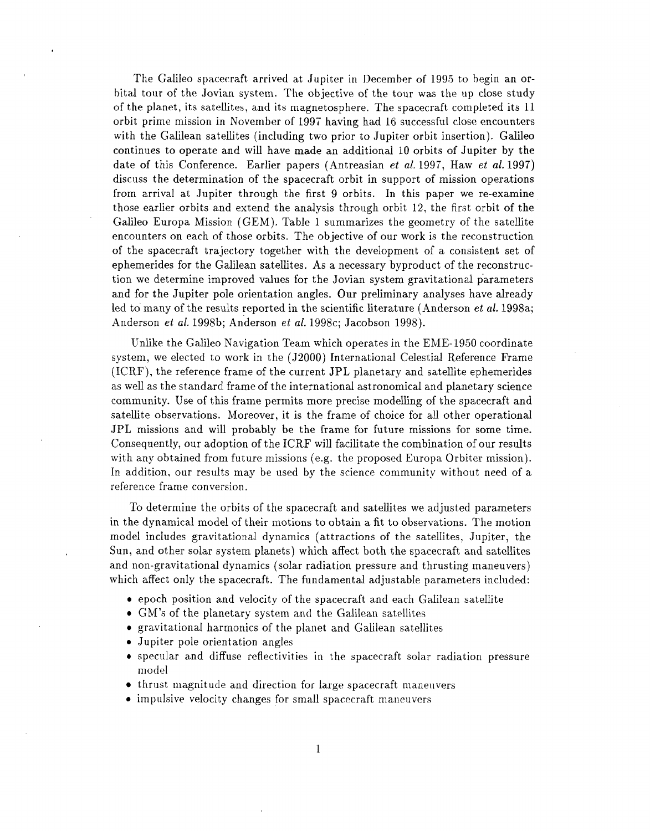The Galileo spacecraft arrived at Jupiter in December of 1995 to begin an orbital tour of the Jovian system. The objective of the tour was the up close study of the planet, its satellites, and its magnetosphere. The spacecraft completed its 11 orbit prime mission in November of 1997' having had 16 successful close encounters with the Galilean satellites (including two prior to Jupiter orbit insertion). Galileo continues to operate and will have made an additional 10 orbits of Jupiter by the date of this Conference. Earlier papers (Antreasian *et al.* 1997, Haw *et al.* 1997) discuss the determination of the spacecraft orbit in support of mission operations from arrival at Jupiter through the first 9 orbits. In this paper we re-examine those earlier orbits and extend the analysis through orbit 12, the first orbit of the Galileo Europa Mission (GEM). Table 1 summarizes the geometry of the satellite encounters on each of those orbits. The objective of our work is the reconstruction of the spacecraft trajectory together with the development of a consistent set of ephemerides for the Galilean satellites. As a necessary byproduct of the reconstruction we determine improved values for the Jovian system gravitational parameters and for the Jupiter pole orientation angles. Our preliminary analyses have already led to many of the results reported in the scientific literature (Anderson *et al.* 1998a; Anderson *et al.* 1998b; Anderson *et al.* 1998c; Jacobson 1998).

Unlike the Galileo Navigation Team which operates in the EME-1950 coordinate system, we elected to work in the (J2000) International Celestial Reference Frame (ICRF), the reference frame of the current JPL planetary and satellite ephemerides as well as the standard frame of the international astronomical and planetary science community. Use of this frame permits more precise modelling of the spacecraft and satellite observations. Moreover, it is the frame of choice for all other operational JPL missions and will probably be the frame for future missions for some time. Consequently, our adoption of the ICRF will facilitate the combination of our results with any obtained from future missions (e.g. the proposed Europa Orbiter mission). In addition, our results may be used by the science community without need of a reference frame conversion.

To determine the orbits of the spacecraft and satellites we adjusted parameters in the dynamical model of their motions to obtain a fit to observations. The motion model includes gravitational dynamics (attractions of the satellites, Jupiter, the Sun, and other solar system planets) which affect both the spacecraft and satellites and non-gravitational dynamics (solar radiation pressure and thrusting maneuvers) which affect only the spacecraft. The fundamental adjustable parameters included:

- *0* epoch position and velocity of the spacecraft and each Galilean satellite
- *0* GM's of the planetary system and the Galilean satellites
- gravitational harmonics of the planet and Galilean satellites
- *0* Jupiter pole orientation angles
- specular and diffuse reflectivities in the spacecraft solar radiation pressure model
- $\bullet$  thrust magnitude and direction for large spacecraft maneuvers
- *0* impulsive velocity changes for small spacecraft maneuvers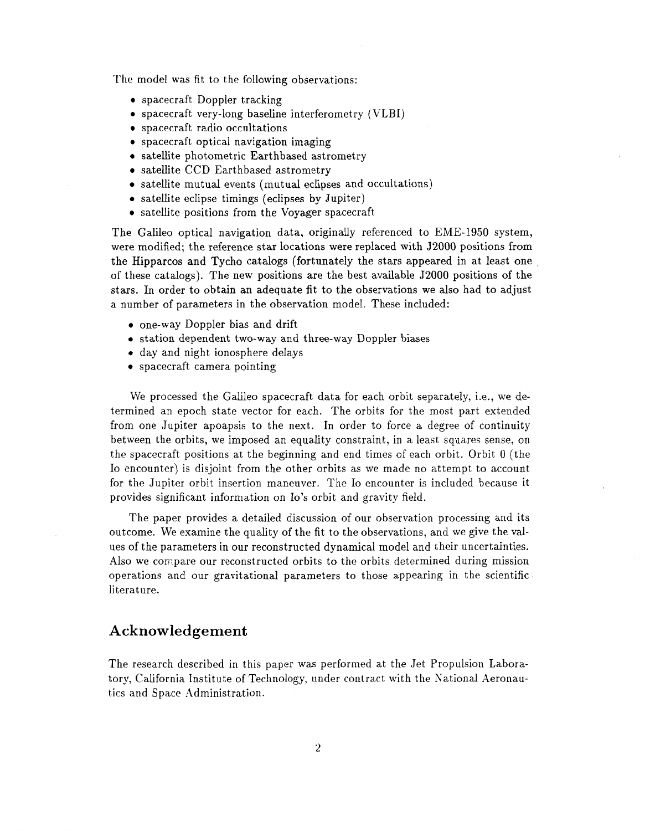The model was fit to the following observations:

- *0* spacecraft Doppler tracking
- *0* spacecraft very-long baseline interferometry (VLBI)
- *0* spacecraft radio occultations
- *0* spacecraft optical navigation imaging
- *0* satellite photometric Earthbased astrometry
- *0* satellite CCD Earthbased astrometry
- *0* satellite mutual events (mutual eclipses and occultations)
- *0* satellite eclipse timings (eclipses by Jupiter)
- *0* satellite positions from the Voyager spacecraft

The Galileo optical navigation data, originally referenced to EME-1950 system, were modified; the reference star locations were replaced with J2000 positions from the Hipparcos and Tycho catalogs (fortunately the stars appeared in at least one of these catalogs). The new positions are the best available J2000 positions of the stars. In order to obtain an adequate fit to the observations we also had to adjust a number of parameters in the observation model. These included:

- *0* one-way Doppler bias and drift
- *0* station dependent two-way and three-way Doppler biases
- *0* day and night ionosphere delays
- *0* spacecraft camera pointing

We processed the Galileo spacecraft data for each orbit separately, i.e., we determined an epoch state vector for each. The orbits for the most part extended from one Jupiter apoapsis to the next. In order to force a degree of continuity between the orbits, we imposed an equality constraint, in a least squares sense, on the spacecraft positions at the beginning and end times of each orbit. Orbit 0 (the Io encounter) is disjoint from the other orbits as we made no attempt to account for the Jupiter orbit insertion maneuver. The Io encounter is included because it provides significant information on Io's orbit and gravity field.

The paper provides a detailed discussion of our observation processing and its outcome. We examine the quality of the fit to the observations, and we give the values of the parameters in our reconstructed dynamical model and their uncertainties. Also we compare our reconstructed orbits to the orbits determined during mission operations and our gravitational parameters to those appearing in the scientific literature.

## **Acknowledgement**

The research described in this paper was performed at the Jet Propulsion Laboratory, California. Institute of Technology, under contract with the National Aeronautics and Space Administration.